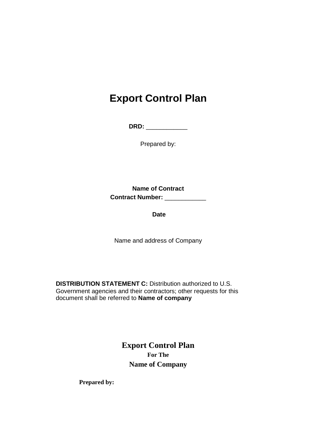# **Export Control Plan**

**DRD:** \_\_\_\_\_\_\_\_\_\_\_\_

Prepared by:

**Name of Contract Contract Number:** \_\_\_\_\_\_\_\_\_\_\_\_

 **Date** 

Name and address of Company

**DISTRIBUTION STATEMENT C:** Distribution authorized to U.S. Government agencies and their contractors; other requests for this document shall be referred to **Name of company** 

> **Export Control Plan For The Name of Company**

 **Prepared by:**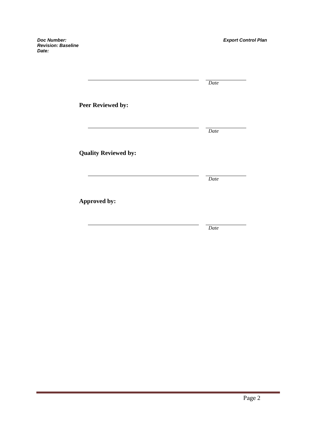|                             | Date |
|-----------------------------|------|
| Peer Reviewed by:           |      |
|                             | Date |
| <b>Quality Reviewed by:</b> |      |
|                             | Date |
| Approved by:                |      |
|                             | Date |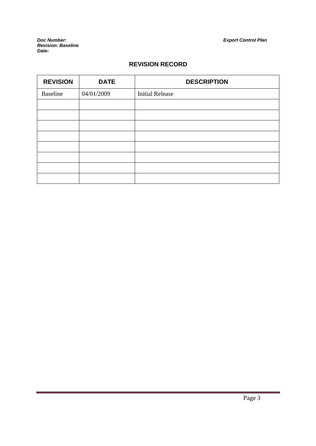## **REVISION RECORD**

| <b>REVISION</b> | <b>DATE</b> | <b>DESCRIPTION</b>     |
|-----------------|-------------|------------------------|
| <b>Baseline</b> | 04/01/2009  | <b>Initial Release</b> |
|                 |             |                        |
|                 |             |                        |
|                 |             |                        |
|                 |             |                        |
|                 |             |                        |
|                 |             |                        |
|                 |             |                        |
|                 |             |                        |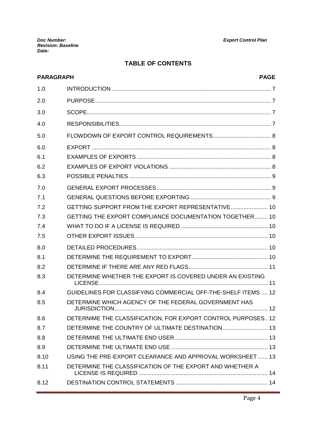# **TABLE OF CONTENTS**

| GETTING SUPPORT FROM THE EXPORT REPRESENTATIVE 10             |  |
|---------------------------------------------------------------|--|
| GETTING THE EXPORT COMPLIANCE DOCUMENTATION TOGETHER 10       |  |
|                                                               |  |
|                                                               |  |
|                                                               |  |
|                                                               |  |
|                                                               |  |
| DETERMINE WHETHER THE EXPORT IS COVERED UNDER AN EXISTING     |  |
| GUIDELINES FOR CLASSIFYING COMMERCIAL OFF-THE-SHELF ITEMS  12 |  |
| DETERMINE WHICH AGENCY OF THE FEDERAL GOVERNMENT HAS          |  |
| DETERNIME THE CLASSIFICATION, FOR EXPORT CONTROL PURPOSES 12  |  |
| DETERMINE THE COUNTRY OF ULTIMATE DESTINATION 13              |  |
|                                                               |  |
|                                                               |  |
| USING THE PRE-EXPORT CLEARANCE AND APPROVAL WORKSHEET  13     |  |
| DETERMINE THE CLASSIFICATION OF THE EXPORT AND WHETHER A      |  |
|                                                               |  |
|                                                               |  |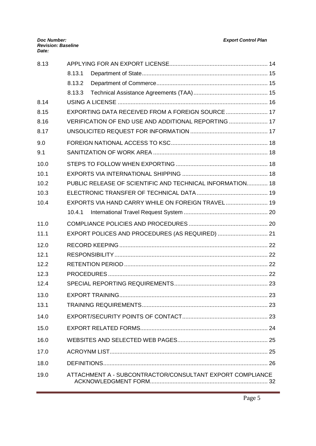| 8.13 |                                                           |  |
|------|-----------------------------------------------------------|--|
|      | 8.13.1                                                    |  |
|      | 8.13.2                                                    |  |
|      | 8.13.3                                                    |  |
| 8.14 |                                                           |  |
| 8.15 | EXPORTING DATA RECEIVED FROM A FOREIGN SOURCE  17         |  |
| 8.16 | VERIFICATION OF END USE AND ADDITIONAL REPORTING  17      |  |
| 8.17 |                                                           |  |
| 9.0  |                                                           |  |
| 9.1  |                                                           |  |
| 10.0 |                                                           |  |
| 10.1 |                                                           |  |
| 10.2 | PUBLIC RELEASE OF SCIENTIFIC AND TECHNICAL INFORMATION 18 |  |
| 10.3 |                                                           |  |
| 10.4 | EXPORTS VIA HAND CARRY WHILE ON FOREIGN TRAVEL 19         |  |
|      | 10.4.1                                                    |  |
| 11.0 |                                                           |  |
| 11.1 | EXPORT POLICES AND PROCEDURES (AS REQUIRED)  21           |  |
| 12.0 |                                                           |  |
| 12.1 |                                                           |  |
| 12.2 |                                                           |  |
| 12.3 |                                                           |  |
| 12.4 |                                                           |  |
| 13.0 |                                                           |  |
| 13.1 |                                                           |  |
| 14.0 |                                                           |  |
| 15.0 |                                                           |  |
| 16.0 |                                                           |  |
| 17.0 |                                                           |  |
| 18.0 |                                                           |  |
| 19.0 | ATTACHMENT A - SUBCONTRACTOR/CONSULTANT EXPORT COMPLIANCE |  |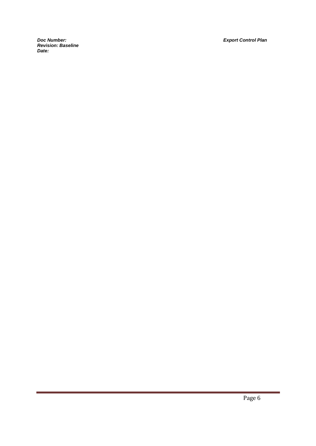**Doc Number: Export Control Plan**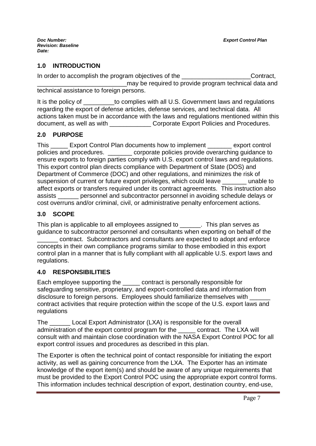**Doc Number: Export Control Plan** 

**Revision: Baseline Date:** 

## **1.0 INTRODUCTION**

In order to accomplish the program objectives of the **weaplest and the contract** Contract, \_\_\_\_\_\_\_\_\_\_\_\_\_\_\_\_\_\_\_\_\_\_\_\_\_\_may be required to provide program technical data and technical assistance to foreign persons.

It is the policy of the complies with all U.S. Government laws and regulations regarding the export of defense articles, defense services, and technical data. All actions taken must be in accordance with the laws and regulations mentioned within this document, as well as with **Corporate Export Policies and Procedures.** 

# **2.0 PURPOSE**

This \_\_\_\_\_ Export Control Plan documents how to implement \_\_\_\_\_\_\_ export control policies and procedures. \_\_\_\_\_\_\_ corporate policies provide overarching guidance to ensure exports to foreign parties comply with U.S. export control laws and regulations. This export control plan directs compliance with Department of State (DOS) and Department of Commerce (DOC) and other regulations, and minimizes the risk of suspension of current or future export privileges, which could leave \_\_\_\_\_\_\_ unable to affect exports or transfers required under its contract agreements. This instruction also assists \_\_\_\_\_\_ personnel and subcontractor personnel in avoiding schedule delays or cost overruns and/or criminal, civil, or administrative penalty enforcement actions.

## **3.0 SCOPE**

This plan is applicable to all employees assigned to \_\_\_\_\_\_. This plan serves as guidance to subcontractor personnel and consultants when exporting on behalf of the

\_\_\_\_\_\_ contract. Subcontractors and consultants are expected to adopt and enforce concepts in their own compliance programs similar to those embodied in this export control plan in a manner that is fully compliant with all applicable U.S. export laws and regulations.

## **4.0 RESPONSIBILITIES**

Each employee supporting the \_\_\_\_\_ contract is personally responsible for safeguarding sensitive, proprietary, and export-controlled data and information from disclosure to foreign persons. Employees should familiarize themselves with \_\_\_\_\_\_ contract activities that require protection within the scope of the U.S. export laws and regulations

The Local Export Administrator (LXA) is responsible for the overall administration of the export control program for the \_\_\_\_\_ contract. The LXA will consult with and maintain close coordination with the NASA Export Control POC for all export control issues and procedures as described in this plan.

The Exporter is often the technical point of contact responsible for initiating the export activity, as well as gaining concurrence from the LXA. The Exporter has an intimate knowledge of the export item(s) and should be aware of any unique requirements that must be provided to the Export Control POC using the appropriate export control forms. This information includes technical description of export, destination country, end-use,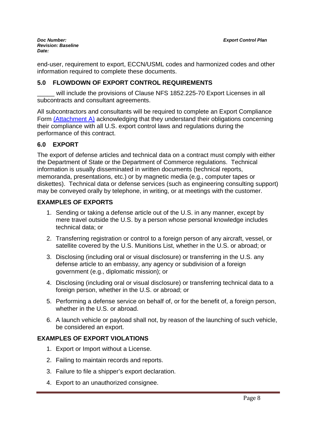end-user, requirement to export, ECCN/USML codes and harmonized codes and other information required to complete these documents.

#### **5.0 FLOWDOWN OF EXPORT CONTROL REQUIREMENTS**

will include the provisions of Clause NFS 1852.225-70 Export Licenses in all subcontracts and consultant agreements.

All subcontractors and consultants will be required to complete an Export Compliance Form (Attachment A) acknowledging that they understand their obligations concerning their compliance with all U.S. export control laws and regulations during the performance of this contract.

## **6.0 EXPORT**

The export of defense articles and technical data on a contract must comply with either the Department of State or the Department of Commerce regulations. Technical information is usually disseminated in written documents (technical reports, memoranda, presentations, etc.) or by magnetic media (e.g., computer tapes or diskettes). Technical data or defense services (such as engineering consulting support) may be conveyed orally by telephone, in writing, or at meetings with the customer.

#### **EXAMPLES OF EXPORTS**

- 1. Sending or taking a defense article out of the U.S. in any manner, except by mere travel outside the U.S. by a person whose personal knowledge includes technical data; or
- 2. Transferring registration or control to a foreign person of any aircraft, vessel, or satellite covered by the U.S. Munitions List, whether in the U.S. or abroad; or
- 3. Disclosing (including oral or visual disclosure) or transferring in the U.S. any defense article to an embassy, any agency or subdivision of a foreign government (e.g., diplomatic mission); or
- 4. Disclosing (including oral or visual disclosure) or transferring technical data to a foreign person, whether in the U.S. or abroad; or
- 5. Performing a defense service on behalf of, or for the benefit of, a foreign person, whether in the U.S. or abroad.
- 6. A launch vehicle or payload shall not, by reason of the launching of such vehicle, be considered an export.

## **EXAMPLES OF EXPORT VIOLATIONS**

- 1. Export or Import without a License.
- 2. Failing to maintain records and reports.
- 3. Failure to file a shipper's export declaration.
- 4. Export to an unauthorized consignee.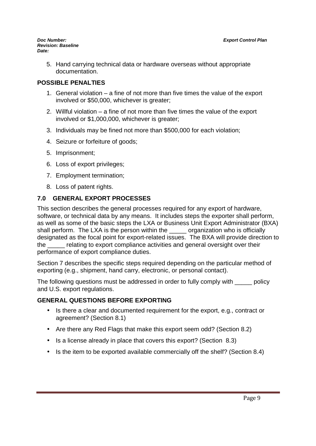5. Hand carrying technical data or hardware overseas without appropriate documentation.

#### **POSSIBLE PENALTIES**

- 1. General violation a fine of not more than five times the value of the export involved or \$50,000, whichever is greater;
- 2. Willful violation a fine of not more than five times the value of the export involved or \$1,000,000, whichever is greater;
- 3. Individuals may be fined not more than \$500,000 for each violation;
- 4. Seizure or forfeiture of goods;
- 5. Imprisonment;
- 6. Loss of export privileges;
- 7. Employment termination;
- 8. Loss of patent rights.

## **7.0 GENERAL EXPORT PROCESSES**

This section describes the general processes required for any export of hardware, software, or technical data by any means. It includes steps the exporter shall perform, as well as some of the basic steps the LXA or Business Unit Export Administrator (BXA) shall perform. The LXA is the person within the organization who is officially designated as the focal point for export-related issues. The BXA will provide direction to the relating to export compliance activities and general oversight over their performance of export compliance duties.

Section 7 describes the specific steps required depending on the particular method of exporting (e.g., shipment, hand carry, electronic, or personal contact).

The following questions must be addressed in order to fully comply with policy and U.S. export regulations.

## **GENERAL QUESTIONS BEFORE EXPORTING**

- Is there a clear and documented requirement for the export, e.g., contract or agreement? (Section 8.1)
- Are there any Red Flags that make this export seem odd? (Section 8.2)
- Is a license already in place that covers this export? (Section 8.3)
- Is the item to be exported available commercially off the shelf? (Section 8.4)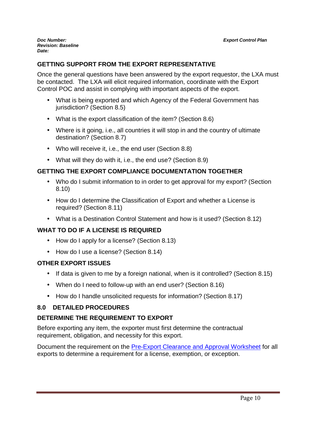## **GETTING SUPPORT FROM THE EXPORT REPRESENTATIVE**

Once the general questions have been answered by the export requestor, the LXA must be contacted. The LXA will elicit required information, coordinate with the Export Control POC and assist in complying with important aspects of the export.

- What is being exported and which Agency of the Federal Government has jurisdiction? (Section 8.5)
- What is the export classification of the item? (Section 8.6)
- Where is it going, i.e., all countries it will stop in and the country of ultimate destination? (Section 8.7)
- Who will receive it, i.e., the end user (Section 8.8)
- What will they do with it, i.e., the end use? (Section 8.9)

## **GETTING THE EXPORT COMPLIANCE DOCUMENTATION TOGETHER**

- Who do I submit information to in order to get approval for my export? (Section 8.10)
- How do I determine the Classification of Export and whether a License is required? (Section 8.11)
- What is a Destination Control Statement and how is it used? (Section 8.12)

## **WHAT TO DO IF A LICENSE IS REQUIRED**

- How do I apply for a license? (Section 8.13)
- How do I use a license? (Section 8.14)

## **OTHER EXPORT ISSUES**

- If data is given to me by a foreign national, when is it controlled? (Section 8.15)
- When do I need to follow-up with an end user? (Section 8.16)
- How do I handle unsolicited requests for information? (Section 8.17)

## **8.0 DETAILED PROCEDURES**

## **DETERMINE THE REQUIREMENT TO EXPORT**

Before exporting any item, the exporter must first determine the contractual requirement, obligation, and necessity for this export.

Document the requirement on the Pre-Export Clearance and Approval Worksheet for all exports to determine a requirement for a license, exemption, or exception.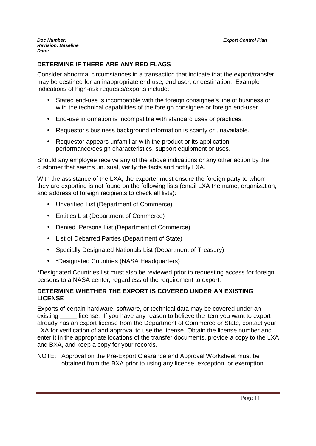#### **DETERMINE IF THERE ARE ANY RED FLAGS**

Consider abnormal circumstances in a transaction that indicate that the export/transfer may be destined for an inappropriate end use, end user, or destination. Example indications of high-risk requests/exports include:

- Stated end-use is incompatible with the foreign consignee's line of business or with the technical capabilities of the foreign consignee or foreign end-user.
- End-use information is incompatible with standard uses or practices.
- Requestor's business background information is scanty or unavailable.
- Requestor appears unfamiliar with the product or its application, performance/design characteristics, support equipment or uses.

Should any employee receive any of the above indications or any other action by the customer that seems unusual, verify the facts and notify LXA.

With the assistance of the LXA, the exporter must ensure the foreign party to whom they are exporting is not found on the following lists (email LXA the name, organization, and address of foreign recipients to check all lists):

- Unverified List (Department of Commerce)
- Entities List (Department of Commerce)
- Denied Persons List (Department of Commerce)
- List of Debarred Parties (Department of State)
- Specially Designated Nationals List (Department of Treasury)
- \*Designated Countries (NASA Headquarters)

\*Designated Countries list must also be reviewed prior to requesting access for foreign persons to a NASA center; regardless of the requirement to export.

#### **DETERMINE WHETHER THE EXPORT IS COVERED UNDER AN EXISTING LICENSE**

Exports of certain hardware, software, or technical data may be covered under an existing license. If you have any reason to believe the item you want to export already has an export license from the Department of Commerce or State, contact your LXA for verification of and approval to use the license. Obtain the license number and enter it in the appropriate locations of the transfer documents, provide a copy to the LXA and BXA, and keep a copy for your records.

NOTE: Approval on the Pre-Export Clearance and Approval Worksheet must be obtained from the BXA prior to using any license, exception, or exemption.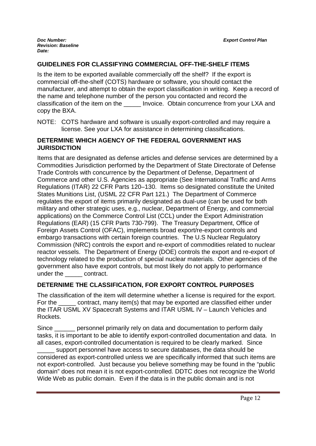#### **GUIDELINES FOR CLASSIFYING COMMERCIAL OFF-THE-SHELF ITEMS**

Is the item to be exported available commercially off the shelf? If the export is commercial off-the-shelf (COTS) hardware or software, you should contact the manufacturer, and attempt to obtain the export classification in writing. Keep a record of the name and telephone number of the person you contacted and record the classification of the item on the **Invoice.** Obtain concurrence from your LXA and copy the BXA.

NOTE: COTS hardware and software is usually export-controlled and may require a license. See your LXA for assistance in determining classifications.

## **DETERMINE WHICH AGENCY OF THE FEDERAL GOVERNMENT HAS JURISDICTION**

Items that are designated as defense articles and defense services are determined by a Commodities Jurisdiction performed by the Department of State Directorate of Defense Trade Controls with concurrence by the Department of Defense, Department of Commerce and other U.S. Agencies as appropriate (See International Traffic and Arms Regulations (ITAR) 22 CFR Parts 120–130. Items so designated constitute the United States Munitions List, (USML 22 CFR Part 121.) The Department of Commerce regulates the export of items primarily designated as dual-use (can be used for both military and other strategic uses, e.g., nuclear, Department of Energy, and commercial applications) on the Commerce Control List (CCL) under the Export Administration Regulations (EAR) (15 CFR Parts 730-799). The Treasury Department, Office of Foreign Assets Control (OFAC), implements broad export/re-export controls and embargo transactions with certain foreign countries. The U.S Nuclear Regulatory Commission (NRC) controls the export and re-export of commodities related to nuclear reactor vessels. The Department of Energy (DOE) controls the export and re-export of technology related to the production of special nuclear materials. Other agencies of the government also have export controls, but most likely do not apply to performance under the contract.

# **DETERNIME THE CLASSIFICATION, FOR EXPORT CONTROL PURPOSES**

The classification of the item will determine whether a license is required for the export. For the <u>contract</u>, many item(s) that may be exported are classified either under the ITAR USML XV Spacecraft Systems and ITAR USML IV – Launch Vehicles and Rockets.

Since \_\_\_\_\_\_ personnel primarily rely on data and documentation to perform daily tasks, it is important to be able to identify export-controlled documentation and data. In all cases, export-controlled documentation is required to be clearly marked. Since

support personnel have access to secure databases, the data should be considered as export-controlled unless we are specifically informed that such items are not export-controlled. Just because you believe something may be found in the "public domain" does not mean it is not export-controlled. DDTC does not recognize the World Wide Web as public domain. Even if the data is in the public domain and is not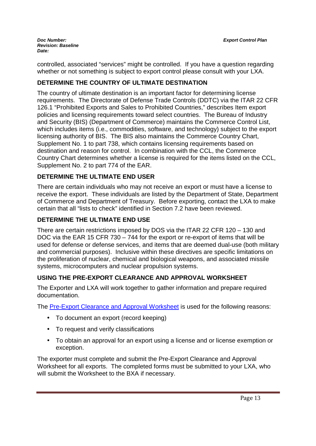**Doc Number: Export Control Plan** 

**Revision: Baseline Date:** 

controlled, associated "services" might be controlled. If you have a question regarding whether or not something is subject to export control please consult with your LXA.

## **DETERMINE THE COUNTRY OF ULTIMATE DESTINATION**

The country of ultimate destination is an important factor for determining license requirements. The Directorate of Defense Trade Controls (DDTC) via the ITAR 22 CFR 126.1 "Prohibited Exports and Sales to Prohibited Countries," describes Item export policies and licensing requirements toward select countries. The Bureau of Industry and Security (BIS) (Department of Commerce) maintains the Commerce Control List, which includes items (i.e., commodities, software, and technology) subject to the export licensing authority of BIS. The BIS also maintains the Commerce Country Chart, Supplement No. 1 to part 738, which contains licensing requirements based on destination and reason for control. In combination with the CCL, the Commerce Country Chart determines whether a license is required for the items listed on the CCL, Supplement No. 2 to part 774 of the EAR.

## **DETERMINE THE ULTIMATE END USER**

There are certain individuals who may not receive an export or must have a license to receive the export. These individuals are listed by the Department of State, Department of Commerce and Department of Treasury. Before exporting, contact the LXA to make certain that all "lists to check" identified in Section 7.2 have been reviewed.

## **DETERMINE THE ULTIMATE END USE**

There are certain restrictions imposed by DOS via the ITAR 22 CFR 120 – 130 and DOC via the EAR 15 CFR 730 – 744 for the export or re-export of items that will be used for defense or defense services, and items that are deemed dual-use (both military and commercial purposes). Inclusive within these directives are specific limitations on the proliferation of nuclear, chemical and biological weapons, and associated missile systems, microcomputers and nuclear propulsion systems.

## **USING THE PRE-EXPORT CLEARANCE AND APPROVAL WORKSHEET**

The Exporter and LXA will work together to gather information and prepare required documentation.

The Pre-Export Clearance and Approval Worksheet is used for the following reasons:

- To document an export (record keeping)
- To request and verify classifications
- To obtain an approval for an export using a license and or license exemption or exception.

The exporter must complete and submit the Pre-Export Clearance and Approval Worksheet for all exports. The completed forms must be submitted to your LXA, who will submit the Worksheet to the BXA if necessary.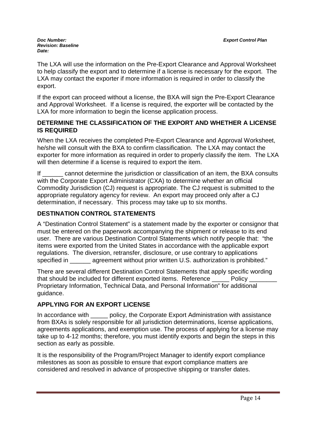The LXA will use the information on the Pre-Export Clearance and Approval Worksheet to help classify the export and to determine if a license is necessary for the export. The LXA may contact the exporter if more information is required in order to classify the export.

If the export can proceed without a license, the BXA will sign the Pre-Export Clearance and Approval Worksheet. If a license is required, the exporter will be contacted by the LXA for more information to begin the license application process.

#### **DETERMINE THE CLASSIFICATION OF THE EXPORT AND WHETHER A LICENSE IS REQUIRED**

When the LXA receives the completed Pre-Export Clearance and Approval Worksheet, he/she will consult with the BXA to confirm classification. The LXA may contact the exporter for more information as required in order to properly classify the item. The LXA will then determine if a license is required to export the item.

If \_\_\_\_\_\_ cannot determine the jurisdiction or classification of an item, the BXA consults with the Corporate Export Administrator (CXA) to determine whether an official Commodity Jurisdiction (CJ) request is appropriate. The CJ request is submitted to the appropriate regulatory agency for review. An export may proceed only after a CJ determination, if necessary. This process may take up to six months.

## **DESTINATION CONTROL STATEMENTS**

A "Destination Control Statement" is a statement made by the exporter or consignor that must be entered on the paperwork accompanying the shipment or release to its end user. There are various Destination Control Statements which notify people that: "the items were exported from the United States in accordance with the applicable export regulations. The diversion, retransfer, disclosure, or use contrary to applications specified in **Example 2** agreement without prior written U.S. authorization is prohibited."

There are several different Destination Control Statements that apply specific wording that should be included for different exported items. Reference \_\_\_\_\_ Policy \_\_\_\_\_\_\_\_ Proprietary Information, Technical Data, and Personal Information" for additional guidance.

## **APPLYING FOR AN EXPORT LICENSE**

In accordance with \_\_\_\_\_\_ policy, the Corporate Export Administration with assistance from BXAs is solely responsible for all jurisdiction determinations, license applications, agreements applications, and exemption use. The process of applying for a license may take up to 4-12 months; therefore, you must identify exports and begin the steps in this section as early as possible.

It is the responsibility of the Program/Project Manager to identify export compliance milestones as soon as possible to ensure that export compliance matters are considered and resolved in advance of prospective shipping or transfer dates.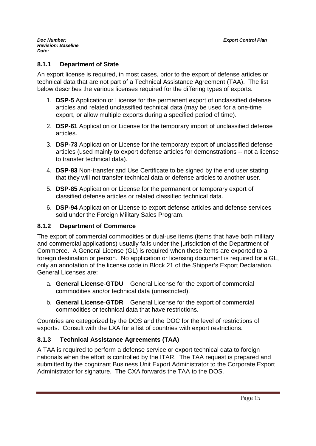#### **8.1.1 Department of State**

An export license is required, in most cases, prior to the export of defense articles or technical data that are not part of a Technical Assistance Agreement (TAA). The list below describes the various licenses required for the differing types of exports.

- 1. **DSP-5** Application or License for the permanent export of unclassified defense articles and related unclassified technical data (may be used for a one-time export, or allow multiple exports during a specified period of time).
- 2. **DSP-61** Application or License for the temporary import of unclassified defense articles.
- 3. **DSP-73** Application or License for the temporary export of unclassified defense articles (used mainly to export defense articles for demonstrations -- not a license to transfer technical data).
- 4. **DSP-83** Non-transfer and Use Certificate to be signed by the end user stating that they will not transfer technical data or defense articles to another user.
- 5. **DSP-85** Application or License for the permanent or temporary export of classified defense articles or related classified technical data.
- 6. **DSP-94** Application or License to export defense articles and defense services sold under the Foreign Military Sales Program.

#### **8.1.2 Department of Commerce**

The export of commercial commodities or dual-use items (items that have both military and commercial applications) usually falls under the jurisdiction of the Department of Commerce. A General License (GL) is required when these items are exported to a foreign destination or person. No application or licensing document is required for a GL, only an annotation of the license code in Block 21 of the Shipper's Export Declaration. General Licenses are:

- a. **General License**-**GTDU** General License for the export of commercial commodities and/or technical data (unrestricted).
- b. **General License**-**GTDR** General License for the export of commercial commodities or technical data that have restrictions.

Countries are categorized by the DOS and the DOC for the level of restrictions of exports. Consult with the LXA for a list of countries with export restrictions.

## **8.1.3 Technical Assistance Agreements (TAA)**

A TAA is required to perform a defense service or export technical data to foreign nationals when the effort is controlled by the ITAR. The TAA request is prepared and submitted by the cognizant Business Unit Export Administrator to the Corporate Export Administrator for signature. The CXA forwards the TAA to the DOS.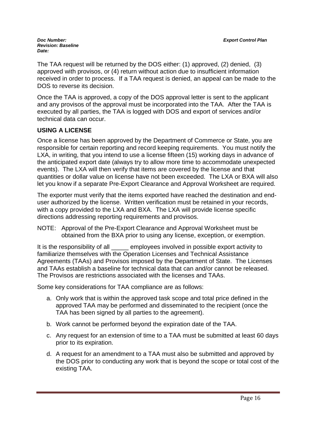The TAA request will be returned by the DOS either: (1) approved, (2) denied, (3) approved with provisos, or (4) return without action due to insufficient information received in order to process. If a TAA request is denied, an appeal can be made to the DOS to reverse its decision.

Once the TAA is approved, a copy of the DOS approval letter is sent to the applicant and any provisos of the approval must be incorporated into the TAA. After the TAA is executed by all parties, the TAA is logged with DOS and export of services and/or technical data can occur.

## **USING A LICENSE**

Once a license has been approved by the Department of Commerce or State, you are responsible for certain reporting and record keeping requirements. You must notify the LXA, in writing, that you intend to use a license fifteen (15) working days in advance of the anticipated export date (always try to allow more time to accommodate unexpected events). The LXA will then verify that items are covered by the license and that quantities or dollar value on license have not been exceeded. The LXA or BXA will also let you know if a separate Pre-Export Clearance and Approval Worksheet are required.

The exporter must verify that the items exported have reached the destination and enduser authorized by the license. Written verification must be retained in your records, with a copy provided to the LXA and BXA. The LXA will provide license specific directions addressing reporting requirements and provisos.

NOTE: Approval of the Pre-Export Clearance and Approval Worksheet must be obtained from the BXA prior to using any license, exception, or exemption.

It is the responsibility of all \_\_\_\_ employees involved in possible export activity to familiarize themselves with the Operation Licenses and Technical Assistance Agreements (TAAs) and Provisos imposed by the Department of State. The Licenses and TAAs establish a baseline for technical data that can and/or cannot be released. The Provisos are restrictions associated with the licenses and TAAs.

Some key considerations for TAA compliance are as follows:

- a. Only work that is within the approved task scope and total price defined in the approved TAA may be performed and disseminated to the recipient (once the TAA has been signed by all parties to the agreement).
- b. Work cannot be performed beyond the expiration date of the TAA.
- c. Any request for an extension of time to a TAA must be submitted at least 60 days prior to its expiration.
- d. A request for an amendment to a TAA must also be submitted and approved by the DOS prior to conducting any work that is beyond the scope or total cost of the existing TAA.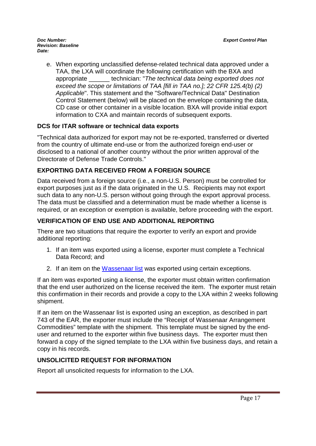> e. When exporting unclassified defense-related technical data approved under a TAA, the LXA will coordinate the following certification with the BXA and appropriate exportant technician: "The technical data being exported does not exceed the scope or limitations of TAA [fill in TAA no.]; 22 CFR 125.4(b) (2) Applicable". This statement and the "Software/Technical Data" Destination Control Statement (below) will be placed on the envelope containing the data, CD case or other container in a visible location. BXA will provide initial export information to CXA and maintain records of subsequent exports.

## **DCS for ITAR software or technical data exports**

"Technical data authorized for export may not be re-exported, transferred or diverted from the country of ultimate end-use or from the authorized foreign end-user or disclosed to a national of another country without the prior written approval of the Directorate of Defense Trade Controls."

## **EXPORTING DATA RECEIVED FROM A FOREIGN SOURCE**

Data received from a foreign source (i.e., a non-U.S. Person) must be controlled for export purposes just as if the data originated in the U.S. Recipients may not export such data to any non-U.S. person without going through the export approval process. The data must be classified and a determination must be made whether a license is required, or an exception or exemption is available, before proceeding with the export.

## **VERIFICATION OF END USE AND ADDITIONAL REPORTING**

There are two situations that require the exporter to verify an export and provide additional reporting:

- 1. If an item was exported using a license, exporter must complete a Technical Data Record; and
- 2. If an item on the Wassenaar list was exported using certain exceptions.

If an item was exported using a license, the exporter must obtain written confirmation that the end user authorized on the license received the item. The exporter must retain this confirmation in their records and provide a copy to the LXA within 2 weeks following shipment.

If an item on the Wassenaar list is exported using an exception, as described in part 743 of the EAR, the exporter must include the "Receipt of Wassenaar Arrangement Commodities" template with the shipment. This template must be signed by the enduser and returned to the exporter within five business days. The exporter must then forward a copy of the signed template to the LXA within five business days, and retain a copy in his records.

## **UNSOLICITED REQUEST FOR INFORMATION**

Report all unsolicited requests for information to the LXA.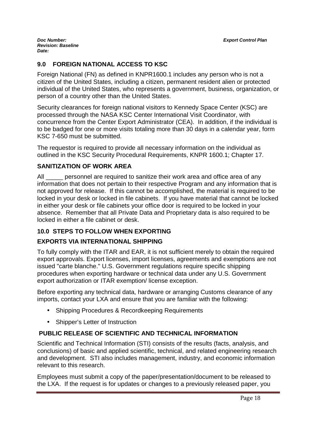**Doc Number: Export Control Plan** 

## **9.0 FOREIGN NATIONAL ACCESS TO KSC**

Foreign National (FN) as defined in KNPR1600.1 includes any person who is not a citizen of the United States, including a citizen, permanent resident alien or protected individual of the United States, who represents a government, business, organization, or person of a country other than the United States.

Security clearances for foreign national visitors to Kennedy Space Center (KSC) are processed through the NASA KSC Center International Visit Coordinator, with concurrence from the Center Export Administrator (CEA). In addition, if the individual is to be badged for one or more visits totaling more than 30 days in a calendar year, form KSC 7-650 must be submitted.

The requestor is required to provide all necessary information on the individual as outlined in the KSC Security Procedural Requirements, KNPR 1600.1; Chapter 17.

## **SANITIZATION OF WORK AREA**

All \_\_\_\_\_ personnel are required to sanitize their work area and office area of any information that does not pertain to their respective Program and any information that is not approved for release. If this cannot be accomplished, the material is required to be locked in your desk or locked in file cabinets. If you have material that cannot be locked in either your desk or file cabinets your office door is required to be locked in your absence. Remember that all Private Data and Proprietary data is also required to be locked in either a file cabinet or desk.

## **10.0 STEPS TO FOLLOW WHEN EXPORTING**

## **EXPORTS VIA INTERNATIONAL SHIPPING**

To fully comply with the ITAR and EAR, it is not sufficient merely to obtain the required export approvals. Export licenses, import licenses, agreements and exemptions are not issued "carte blanche." U.S. Government regulations require specific shipping procedures when exporting hardware or technical data under any U.S. Government export authorization or ITAR exemption/ license exception.

Before exporting any technical data, hardware or arranging Customs clearance of any imports, contact your LXA and ensure that you are familiar with the following:

- Shipping Procedures & Recordkeeping Requirements
- Shipper's Letter of Instruction

# **PUBLIC RELEASE OF SCIENTIFIC AND TECHNICAL INFORMATION**

Scientific and Technical Information (STI) consists of the results (facts, analysis, and conclusions) of basic and applied scientific, technical, and related engineering research and development. STI also includes management, industry, and economic information relevant to this research.

Employees must submit a copy of the paper/presentation/document to be released to the LXA. If the request is for updates or changes to a previously released paper, you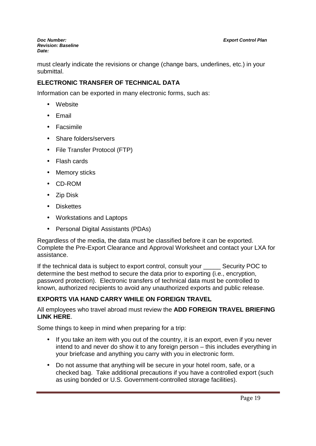must clearly indicate the revisions or change (change bars, underlines, etc.) in your submittal.

## **ELECTRONIC TRANSFER OF TECHNICAL DATA**

Information can be exported in many electronic forms, such as:

- Website
- Email
- Facsimile
- Share folders/servers
- File Transfer Protocol (FTP)
- Flash cards
- Memory sticks
- CD-ROM
- Zip Disk
- Diskettes
- Workstations and Laptops
- Personal Digital Assistants (PDAs)

Regardless of the media, the data must be classified before it can be exported. Complete the Pre-Export Clearance and Approval Worksheet and contact your LXA for assistance.

If the technical data is subject to export control, consult your \_\_\_\_\_ Security POC to determine the best method to secure the data prior to exporting (i.e., encryption, password protection). Electronic transfers of technical data must be controlled to known, authorized recipients to avoid any unauthorized exports and public release.

## **EXPORTS VIA HAND CARRY WHILE ON FOREIGN TRAVEL**

All employees who travel abroad must review the **ADD FOREIGN TRAVEL BRIEFING LINK HERE**.

Some things to keep in mind when preparing for a trip:

- If you take an item with you out of the country, it is an export, even if you never intend to and never do show it to any foreign person – this includes everything in your briefcase and anything you carry with you in electronic form.
- Do not assume that anything will be secure in your hotel room, safe, or a checked bag. Take additional precautions if you have a controlled export (such as using bonded or U.S. Government-controlled storage facilities).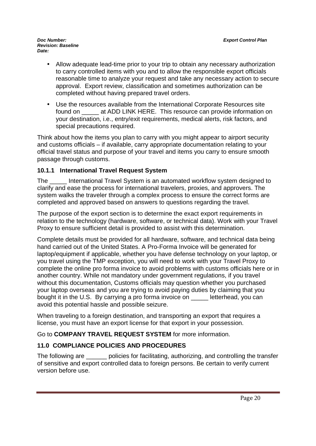- Allow adequate lead-time prior to your trip to obtain any necessary authorization to carry controlled items with you and to allow the responsible export officials reasonable time to analyze your request and take any necessary action to secure approval. Export review, classification and sometimes authorization can be completed without having prepared travel orders.
- Use the resources available from the International Corporate Resources site found on \_\_\_\_\_ at ADD LINK HERE. This resource can provide information on your destination, i.e., entry/exit requirements, medical alerts, risk factors, and special precautions required.

Think about how the items you plan to carry with you might appear to airport security and customs officials – if available, carry appropriate documentation relating to your official travel status and purpose of your travel and items you carry to ensure smooth passage through customs.

## **10.1.1 International Travel Request System**

The **International Travel System is an automated workflow system designed to** clarify and ease the process for international travelers, proxies, and approvers. The system walks the traveler through a complex process to ensure the correct forms are completed and approved based on answers to questions regarding the travel.

The purpose of the export section is to determine the exact export requirements in relation to the technology (hardware, software, or technical data). Work with your Travel Proxy to ensure sufficient detail is provided to assist with this determination.

Complete details must be provided for all hardware, software, and technical data being hand carried out of the United States. A Pro-Forma Invoice will be generated for laptop/equipment if applicable, whether you have defense technology on your laptop, or you travel using the TMP exception, you will need to work with your Travel Proxy to complete the online pro forma invoice to avoid problems with customs officials here or in another country. While not mandatory under government regulations, if you travel without this documentation, Customs officials may question whether you purchased your laptop overseas and you are trying to avoid paying duties by claiming that you bought it in the U.S. By carrying a pro forma invoice on \_\_\_\_\_ letterhead, you can avoid this potential hassle and possible seizure.

When traveling to a foreign destination, and transporting an export that requires a license, you must have an export license for that export in your possession.

Go to **COMPANY TRAVEL REQUEST SYSTEM** for more information.

# **11.0 COMPLIANCE POLICIES AND PROCEDURES**

The following are same policies for facilitating, authorizing, and controlling the transfer of sensitive and export controlled data to foreign persons. Be certain to verify current version before use.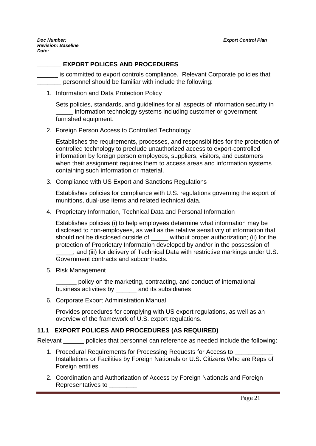**Doc Number: Export Control Plan** 

**Revision: Baseline Date:** 

#### **\_\_\_\_\_\_\_ EXPORT POLICES AND PROCEDURES**

is committed to export controls compliance. Relevant Corporate policies that \_\_\_\_\_\_\_ personnel should be familiar with include the following:

1. Information and Data Protection Policy

Sets policies, standards, and guidelines for all aspects of information security in \_\_\_\_\_ information technology systems including customer or government furnished equipment.

2. Foreign Person Access to Controlled Technology

Establishes the requirements, processes, and responsibilities for the protection of controlled technology to preclude unauthorized access to export-controlled information by foreign person employees, suppliers, visitors, and customers when their assignment requires them to access areas and information systems containing such information or material.

3. Compliance with US Export and Sanctions Regulations

Establishes policies for compliance with U.S. regulations governing the export of munitions, dual-use items and related technical data.

4. Proprietary Information, Technical Data and Personal Information

Establishes policies (i) to help employees determine what information may be disclosed to non-employees, as well as the relative sensitivity of information that should not be disclosed outside of \_\_\_\_\_ without proper authorization; (ii) for the protection of Proprietary Information developed by and/or in the possession of \_\_\_\_\_; and (iii) for delivery of Technical Data with restrictive markings under U.S. Government contracts and subcontracts.

5. Risk Management

policy on the marketing, contracting, and conduct of international business activities by \_\_\_\_\_\_ and its subsidiaries

6. Corporate Export Administration Manual

Provides procedures for complying with US export regulations, as well as an overview of the framework of U.S. export regulations.

#### **11.1 EXPORT POLICES AND PROCEDURES (AS REQUIRED)**

Relevant endicies that personnel can reference as needed include the following:

- 1. Procedural Requirements for Processing Requests for Access to Installations or Facilities by Foreign Nationals or U.S. Citizens Who are Reps of Foreign entities
- 2. Coordination and Authorization of Access by Foreign Nationals and Foreign Representatives to \_\_\_\_\_\_\_\_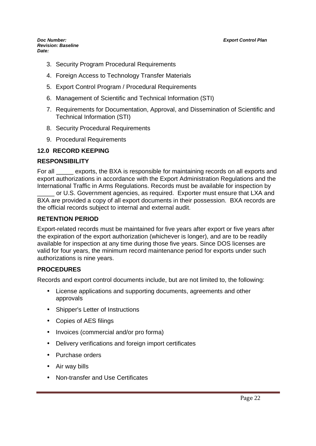- 3. Security Program Procedural Requirements
- 4. Foreign Access to Technology Transfer Materials
- 5. Export Control Program / Procedural Requirements
- 6. Management of Scientific and Technical Information (STI)
- 7. Requirements for Documentation, Approval, and Dissemination of Scientific and Technical Information (STI)
- 8. Security Procedural Requirements
- 9. Procedural Requirements

#### **12.0 RECORD KEEPING**

#### **RESPONSIBILITY**

For all exports, the BXA is responsible for maintaining records on all exports and export authorizations in accordance with the Export Administration Regulations and the International Traffic in Arms Regulations. Records must be available for inspection by

or U.S. Government agencies, as required. Exporter must ensure that LXA and BXA are provided a copy of all export documents in their possession. BXA records are the official records subject to internal and external audit.

#### **RETENTION PERIOD**

Export-related records must be maintained for five years after export or five years after the expiration of the export authorization (whichever is longer), and are to be readily available for inspection at any time during those five years. Since DOS licenses are valid for four years, the minimum record maintenance period for exports under such authorizations is nine years.

#### **PROCEDURES**

Records and export control documents include, but are not limited to, the following:

- License applications and supporting documents, agreements and other approvals
- Shipper's Letter of Instructions
- Copies of AES filings
- Invoices (commercial and/or pro forma)
- Delivery verifications and foreign import certificates
- Purchase orders
- Air way bills
- Non-transfer and Use Certificates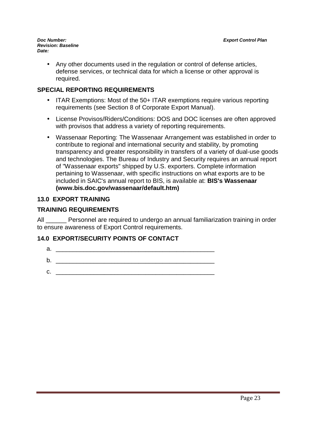> • Any other documents used in the regulation or control of defense articles, defense services, or technical data for which a license or other approval is required.

## **SPECIAL REPORTING REQUIREMENTS**

- ITAR Exemptions: Most of the 50+ ITAR exemptions require various reporting requirements (see Section 8 of Corporate Export Manual).
- License Provisos/Riders/Conditions: DOS and DOC licenses are often approved with provisos that address a variety of reporting requirements.
- Wassenaar Reporting: The Wassenaar Arrangement was established in order to contribute to regional and international security and stability, by promoting transparency and greater responsibility in transfers of a variety of dual-use goods and technologies. The Bureau of Industry and Security requires an annual report of "Wassenaar exports" shipped by U.S. exporters. Complete information pertaining to Wassenaar, with specific instructions on what exports are to be included in SAIC's annual report to BIS, is available at: **BIS's Wassenaar (www.bis.doc.gov/wassenaar/default.htm)**

## **13.0 EXPORT TRAINING**

## **TRAINING REQUIREMENTS**

All \_\_\_\_\_\_ Personnel are required to undergo an annual familiarization training in order to ensure awareness of Export Control requirements.

# **14.0 EXPORT/SECURITY POINTS OF CONTACT**

a. \_\_\_\_\_\_\_\_\_\_\_\_\_\_\_\_\_\_\_\_\_\_\_\_\_\_\_\_\_\_\_\_\_\_\_\_\_\_\_\_\_\_\_\_\_\_ b. \_\_\_\_\_\_\_\_\_\_\_\_\_\_\_\_\_\_\_\_\_\_\_\_\_\_\_\_\_\_\_\_\_\_\_\_\_\_\_\_\_\_\_\_\_\_  $C.$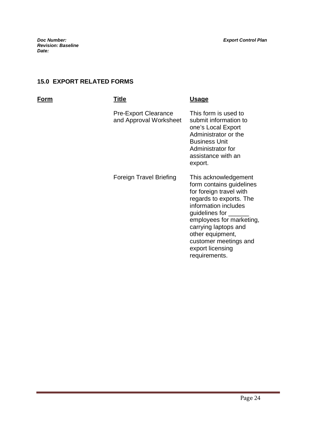## **15.0 EXPORT RELATED FORMS**

| Fo <u>rm</u> | <u>Title</u>                                          | <u>Usage</u>                                                                                                                                                                                                                                                                               |
|--------------|-------------------------------------------------------|--------------------------------------------------------------------------------------------------------------------------------------------------------------------------------------------------------------------------------------------------------------------------------------------|
|              | <b>Pre-Export Clearance</b><br>and Approval Worksheet | This form is used to<br>submit information to<br>one's Local Export<br>Administrator or the<br><b>Business Unit</b><br>Administrator for<br>assistance with an<br>export.                                                                                                                  |
|              | Foreign Travel Briefing                               | This acknowledgement<br>form contains guidelines<br>for foreign travel with<br>regards to exports. The<br>information includes<br>guidelines for ___<br>employees for marketing,<br>carrying laptops and<br>other equipment,<br>customer meetings and<br>export licensing<br>requirements. |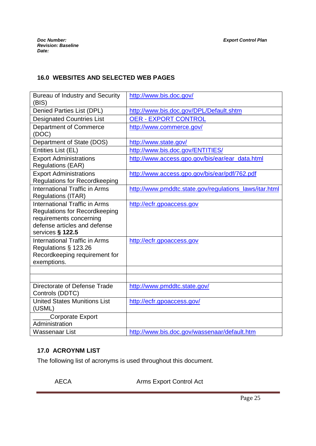## **16.0 WEBSITES AND SELECTED WEB PAGES**

| Bureau of Industry and Security<br>(BIS)                                                                                                                    | http://www.bis.doc.gov/                                |
|-------------------------------------------------------------------------------------------------------------------------------------------------------------|--------------------------------------------------------|
| Denied Parties List (DPL)                                                                                                                                   | http://www.bis.doc.gov/DPL/Default.shtm                |
| <b>Designated Countries List</b>                                                                                                                            | <b>OER - EXPORT CONTROL</b>                            |
| Department of Commerce<br>(DOC)                                                                                                                             | http://www.commerce.gov/                               |
| Department of State (DOS)                                                                                                                                   | http://www.state.gov/                                  |
| Entities List (EL)                                                                                                                                          | http://www.bis.doc.gov/ENTITIES/                       |
| <b>Export Administrations</b><br><b>Regulations (EAR)</b>                                                                                                   | http://www.access.gpo.gov/bis/ear/ear_data.html        |
| <b>Export Administrations</b><br><b>Regulations for Recordkeeping</b>                                                                                       | http://www.access.gpo.gov/bis/ear/pdf/762.pdf          |
| <b>International Traffic in Arms</b><br><b>Regulations (ITAR)</b>                                                                                           | http://www.pmddtc.state.gov/regulations_laws/itar.html |
| <b>International Traffic in Arms</b><br><b>Regulations for Recordkeeping</b><br>requirements concerning<br>defense articles and defense<br>services § 122.5 | http://ecfr.gpoaccess.gov                              |
| International Traffic in Arms<br>Regulations § 123.26<br>Recordkeeping requirement for<br>exemptions.                                                       | http://ecfr.gpoaccess.gov                              |
|                                                                                                                                                             |                                                        |
| Directorate of Defense Trade<br>Controls (DDTC)                                                                                                             | http://www.pmddtc.state.gov/                           |
| <b>United States Munitions List</b><br>(USML)                                                                                                               | http://ecfr.gpoaccess.gov/                             |
| Corporate Export<br>Administration                                                                                                                          |                                                        |
| Wassenaar List                                                                                                                                              | http://www.bis.doc.gov/wassenaar/default.htm           |

#### **17.0 ACROYNM LIST**

The following list of acronyms is used throughout this document.

AECA Arms Export Control Act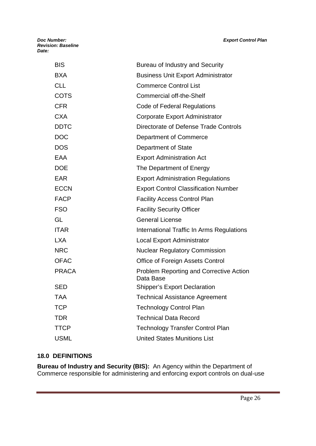| <b>BIS</b>   | Bureau of Industry and Security                             |  |
|--------------|-------------------------------------------------------------|--|
| <b>BXA</b>   | <b>Business Unit Export Administrator</b>                   |  |
| <b>CLL</b>   | <b>Commerce Control List</b>                                |  |
| <b>COTS</b>  | <b>Commercial off-the-Shelf</b>                             |  |
| <b>CFR</b>   | Code of Federal Regulations                                 |  |
| <b>CXA</b>   | Corporate Export Administrator                              |  |
| <b>DDTC</b>  | Directorate of Defense Trade Controls                       |  |
| <b>DOC</b>   | Department of Commerce                                      |  |
| <b>DOS</b>   | Department of State                                         |  |
| EAA          | <b>Export Administration Act</b>                            |  |
| <b>DOE</b>   | The Department of Energy                                    |  |
| <b>EAR</b>   | <b>Export Administration Regulations</b>                    |  |
| <b>ECCN</b>  | <b>Export Control Classification Number</b>                 |  |
| <b>FACP</b>  | <b>Facility Access Control Plan</b>                         |  |
| <b>FSO</b>   | <b>Facility Security Officer</b>                            |  |
| GL           | <b>General License</b>                                      |  |
| <b>ITAR</b>  | International Traffic In Arms Regulations                   |  |
| <b>LXA</b>   | Local Export Administrator                                  |  |
| <b>NRC</b>   | <b>Nuclear Regulatory Commission</b>                        |  |
| <b>OFAC</b>  | <b>Office of Foreign Assets Control</b>                     |  |
| <b>PRACA</b> | <b>Problem Reporting and Corrective Action</b><br>Data Base |  |
| <b>SED</b>   | <b>Shipper's Export Declaration</b>                         |  |
| TAA          | <b>Technical Assistance Agreement</b>                       |  |
| <b>TCP</b>   | <b>Technology Control Plan</b>                              |  |
| <b>TDR</b>   | <b>Technical Data Record</b>                                |  |
| <b>TTCP</b>  | <b>Technology Transfer Control Plan</b>                     |  |
| <b>USML</b>  | <b>United States Munitions List</b>                         |  |

## **18.0 DEFINITIONS**

**Bureau of Industry and Security (BIS):** An Agency within the Department of Commerce responsible for administering and enforcing export controls on dual-use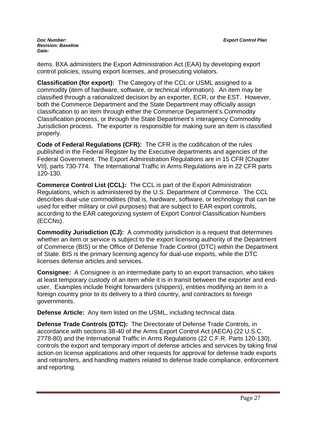items. BXA administers the Export Administration Act (EAA) by developing export control policies, issuing export licenses, and prosecuting violators.

**Classification (for export):** The Category of the CCL or USML assigned to a commodity (item of hardware, software, or technical information). An item may be classified through a rationalized decision by an exporter, ECR, or the EST. However, both the Commerce Department and the State Department may officially assign classification to an item through either the Commerce Department's Commodity Classification process, or through the State Department's interagency Commodity Jurisdiction process. The exporter is responsible for making sure an item is classified properly.

**Code of Federal Regulations (CFR):** The CFR is the codification of the rules published in the Federal Register by the Executive departments and agencies of the Federal Government. The Export Administration Regulations are in 15 CFR [Chapter VII], parts 730-774. The International Traffic in Arms Regulations are in 22 CFR parts 120-130.

**Commerce Control List (CCL):** The CCL is part of the Export Administration Regulations, which is administered by the U.S. Department of Commerce. The CCL describes dual-use commodities (that is, hardware, software, or technology that can be used for either military or civil purposes) that are subject to EAR export controls, according to the EAR categorizing system of Export Control Classification Numbers (ECCNs).

**Commodity Jurisdiction (CJ):** A commodity jurisdiction is a request that determines whether an item or service is subject to the export licensing authority of the Department of Commerce (BIS) or the Office of Defense Trade Control (DTC) within the Department of State. BIS is the primary licensing agency for dual-use exports, while the DTC licenses defense articles and services.

**Consignee:** A Consignee is an intermediate party to an export transaction, who takes at least temporary custody of an item while it is in transit between the exporter and enduser. Examples include freight forwarders (shippers), entities modifying an item in a foreign country prior to its delivery to a third country, and contractors to foreign governments.

**Defense Article:** Any item listed on the USML, including technical data.

**Defense Trade Controls (DTC):** The Directorate of Defense Trade Controls, in accordance with sections 38-40 of the Arms Export Control Act (AECA) (22 U.S.C. 2778-80) and the International Traffic in Arms Regulations (22 C.F.R. Parts 120-130), controls the export and temporary import of defense articles and services by taking final action on license applications and other requests for approval for defense trade exports and retransfers, and handling matters related to defense trade compliance, enforcement and reporting.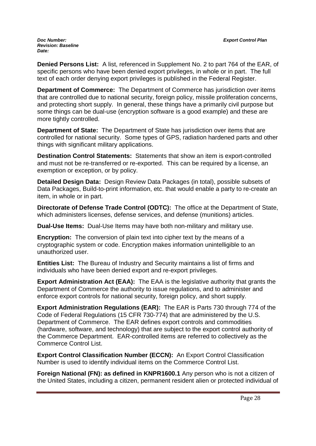**Denied Persons List:** A list, referenced in Supplement No. 2 to part 764 of the EAR, of specific persons who have been denied export privileges, in whole or in part. The full text of each order denying export privileges is published in the Federal Register.

**Department of Commerce:** The Department of Commerce has jurisdiction over items that are controlled due to national security, foreign policy, missile proliferation concerns, and protecting short supply. In general, these things have a primarily civil purpose but some things can be dual-use (encryption software is a good example) and these are more tightly controlled.

**Department of State:** The Department of State has jurisdiction over items that are controlled for national security. Some types of GPS, radiation hardened parts and other things with significant military applications.

**Destination Control Statements:** Statements that show an item is export-controlled and must not be re-transferred or re-exported. This can be required by a license, an exemption or exception, or by policy.

**Detailed Design Data:** Design Review Data Packages (in total), possible subsets of Data Packages, Build-to-print information, etc. that would enable a party to re-create an item, in whole or in part.

**Directorate of Defense Trade Control (ODTC):** The office at the Department of State, which administers licenses, defense services, and defense (munitions) articles.

**Dual-Use Items:** Dual-Use Items may have both non-military and military use.

**Encryption:** The conversion of plain text into cipher text by the means of a cryptographic system or code. Encryption makes information unintelligible to an unauthorized user.

**Entities List:** The Bureau of Industry and Security maintains a list of firms and individuals who have been denied export and re-export privileges.

**Export Administration Act (EAA):** The EAA is the legislative authority that grants the Department of Commerce the authority to issue regulations, and to administer and enforce export controls for national security, foreign policy, and short supply.

**Export Administration Regulations (EAR):** The EAR is Parts 730 through 774 of the Code of Federal Regulations (15 CFR 730-774) that are administered by the U.S. Department of Commerce. The EAR defines export controls and commodities (hardware, software, and technology) that are subject to the export control authority of the Commerce Department. EAR-controlled items are referred to collectively as the Commerce Control List.

**Export Control Classification Number (ECCN):** An Export Control Classification Number is used to identify individual items on the Commerce Control List.

**Foreign National (FN): as defined in KNPR1600.1** Any person who is not a citizen of the United States, including a citizen, permanent resident alien or protected individual of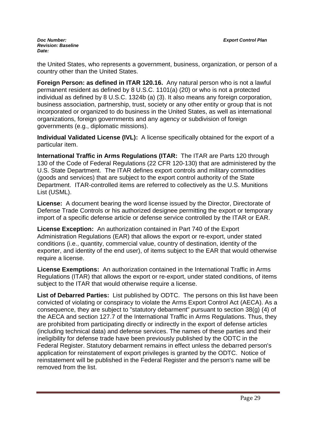the United States, who represents a government, business, organization, or person of a country other than the United States.

**Foreign Person: as defined in ITAR 120.16.** Any natural person who is not a lawful permanent resident as defined by 8 U.S.C. 1101(a) (20) or who is not a protected individual as defined by 8 U.S.C. 1324b (a) (3). It also means any foreign corporation, business association, partnership, trust, society or any other entity or group that is not incorporated or organized to do business in the United States, as well as international organizations, foreign governments and any agency or subdivision of foreign governments (e.g., diplomatic missions).

**Individual Validated License (IVL):** A license specifically obtained for the export of a particular item.

**International Traffic in Arms Regulations (ITAR:** The ITAR are Parts 120 through 130 of the Code of Federal Regulations (22 CFR 120-130) that are administered by the U.S. State Department. The ITAR defines export controls and military commodities (goods and services) that are subject to the export control authority of the State Department. ITAR-controlled items are referred to collectively as the U.S. Munitions List (USML).

**License:** A document bearing the word license issued by the Director, Directorate of Defense Trade Controls or his authorized designee permitting the export or temporary import of a specific defense article or defense service controlled by the ITAR or EAR.

**License Exception:** An authorization contained in Part 740 of the Export Administration Regulations (EAR) that allows the export or re-export, under stated conditions (i.e., quantity, commercial value, country of destination, identity of the exporter, and identity of the end user), of items subject to the EAR that would otherwise require a license.

**License Exemptions:** An authorization contained in the International Traffic in Arms Regulations (ITAR) that allows the export or re-export, under stated conditions, of items subject to the ITAR that would otherwise require a license.

**List of Debarred Parties:** List published by ODTC. The persons on this list have been convicted of violating or conspiracy to violate the Arms Export Control Act (AECA). As a consequence, they are subject to "statutory debarment" pursuant to section 38(g) (4) of the AECA and section 127.7 of the International Traffic in Arms Regulations. Thus, they are prohibited from participating directly or indirectly in the export of defense articles (including technical data) and defense services. The names of these parties and their ineligibility for defense trade have been previously published by the ODTC in the Federal Register. Statutory debarment remains in effect unless the debarred person's application for reinstatement of export privileges is granted by the ODTC. Notice of reinstatement will be published in the Federal Register and the person's name will be removed from the list.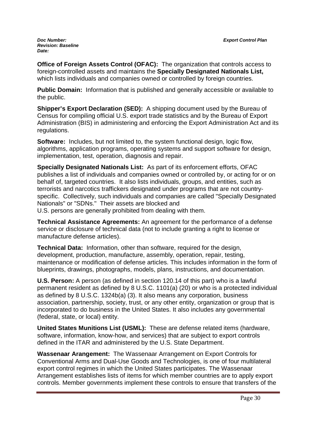**Office of Foreign Assets Control (OFAC):** The organization that controls access to foreign-controlled assets and maintains the **Specially Designated Nationals List,**  which lists individuals and companies owned or controlled by foreign countries.

**Public Domain:** Information that is published and generally accessible or available to the public.

**Shipper's Export Declaration (SED):** A shipping document used by the Bureau of Census for compiling official U.S. export trade statistics and by the Bureau of Export Administration (BIS) in administering and enforcing the Export Administration Act and its regulations.

**Software:** Includes, but not limited to, the system functional design, logic flow, algorithms, application programs, operating systems and support software for design, implementation, test, operation, diagnosis and repair.

**Specially Designated Nationals List:** As part of its enforcement efforts, OFAC publishes a list of individuals and companies owned or controlled by, or acting for or on behalf of, targeted countries. It also lists individuals, groups, and entities, such as terrorists and narcotics traffickers designated under programs that are not countryspecific. Collectively, such individuals and companies are called "Specially Designated Nationals" or "SDNs." Their assets are blocked and

U.S. persons are generally prohibited from dealing with them.

**Technical Assistance Agreements:** An agreement for the performance of a defense service or disclosure of technical data (not to include granting a right to license or manufacture defense articles).

**Technical Data:** Information, other than software, required for the design, development, production, manufacture, assembly, operation, repair, testing, maintenance or modification of defense articles. This includes information in the form of blueprints, drawings, photographs, models, plans, instructions, and documentation.

**U.S. Person:** A person (as defined in section 120.14 of this part) who is a lawful permanent resident as defined by 8 U.S.C. 1101(a) (20) or who is a protected individual as defined by 8 U.S.C. 1324b(a) (3). It also means any corporation, business association, partnership, society, trust, or any other entity, organization or group that is incorporated to do business in the United States. It also includes any governmental (federal, state, or local) entity.

**United States Munitions List (USML):** These are defense related items (hardware, software, information, know-how, and services) that are subject to export controls defined in the ITAR and administered by the U.S. State Department.

**Wassenaar Arangement:** The Wassenaar Arrangement on Export Controls for Conventional Arms and Dual-Use Goods and Technologies, is one of four multilateral export control regimes in which the United States participates. The Wassenaar Arrangement establishes lists of items for which member countries are to apply export controls. Member governments implement these controls to ensure that transfers of the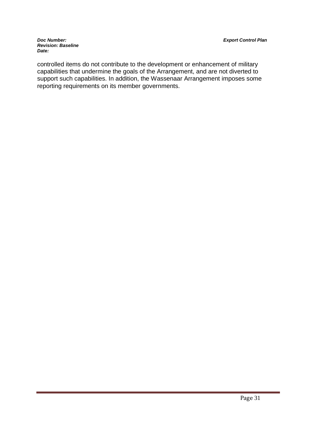controlled items do not contribute to the development or enhancement of military capabilities that undermine the goals of the Arrangement, and are not diverted to support such capabilities. In addition, the Wassenaar Arrangement imposes some reporting requirements on its member governments.